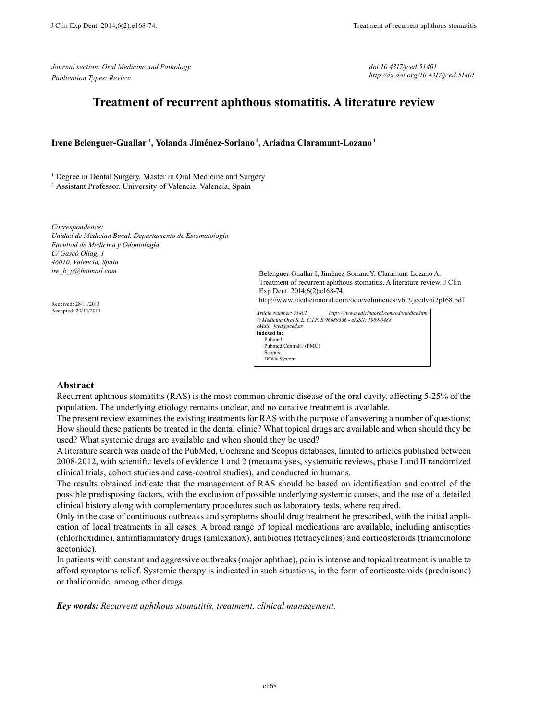*Journal section: Oral Medicine and Pathology Publication Types: Review*

*doi:10.4317/jced.51401 http://dx.doi.org/10.4317/jced.51401*

# **Treatment of recurrent aphthous stomatitis. A literature review**

#### **Irene Belenguer-Guallar 1 , Yolanda Jiménez-Soriano 2, Ariadna Claramunt-Lozano 1**

<sup>1</sup> Degree in Dental Surgery. Master in Oral Medicine and Surgery

2 Assistant Professor. University of Valencia. Valencia, Spain

*Correspondence: Unidad de Medicina Bucal. Departamento de Estomatología Facultad de Medicina y Odontología C/ Gascó Oliag, 1 46010, Valencia, Spain ire\_b\_g@hotmail.com*

Received: 28/11/2013 Accepted: 23/12/2014

Belenguer-Guallar I, Jiménez-SorianoY, Claramunt-Lozano A. Treatment of recurrent aphthous stomatitis. A literature review. J Clin Exp Dent. 2014;6(2):e168-74. http://www.medicinaoral.com/odo/volumenes/v6i2/jcedv6i2p168.pdf *Article Number: 51401 http://www.medicinaoral.com/odo/indice.htm*

*© Medicina Oral S. L. C.I.F. B 96689336 - eISSN: 1989-5488 eMail: jced@jced.es* **Indexed in:** Pubmed Pubmed Central® (PMC) Scopus DOI® System

#### **Abstract**

Recurrent aphthous stomatitis (RAS) is the most common chronic disease of the oral cavity, affecting 5-25% of the population. The underlying etiology remains unclear, and no curative treatment is available.

The present review examines the existing treatments for RAS with the purpose of answering a number of questions: How should these patients be treated in the dental clinic? What topical drugs are available and when should they be used? What systemic drugs are available and when should they be used?

A literature search was made of the PubMed, Cochrane and Scopus databases, limited to articles published between 2008-2012, with scientific levels of evidence 1 and 2 (metaanalyses, systematic reviews, phase I and II randomized clinical trials, cohort studies and case-control studies), and conducted in humans.

The results obtained indicate that the management of RAS should be based on identification and control of the possible predisposing factors, with the exclusion of possible underlying systemic causes, and the use of a detailed clinical history along with complementary procedures such as laboratory tests, where required.

Only in the case of continuous outbreaks and symptoms should drug treatment be prescribed, with the initial application of local treatments in all cases. A broad range of topical medications are available, including antiseptics (chlorhexidine), antiinflammatory drugs (amlexanox), antibiotics (tetracyclines) and corticosteroids (triamcinolone acetonide).

In patients with constant and aggressive outbreaks (major aphthae), pain is intense and topical treatment is unable to afford symptoms relief. Systemic therapy is indicated in such situations, in the form of corticosteroids (prednisone) or thalidomide, among other drugs.

*Key words: Recurrent aphthous stomatitis, treatment, clinical management.*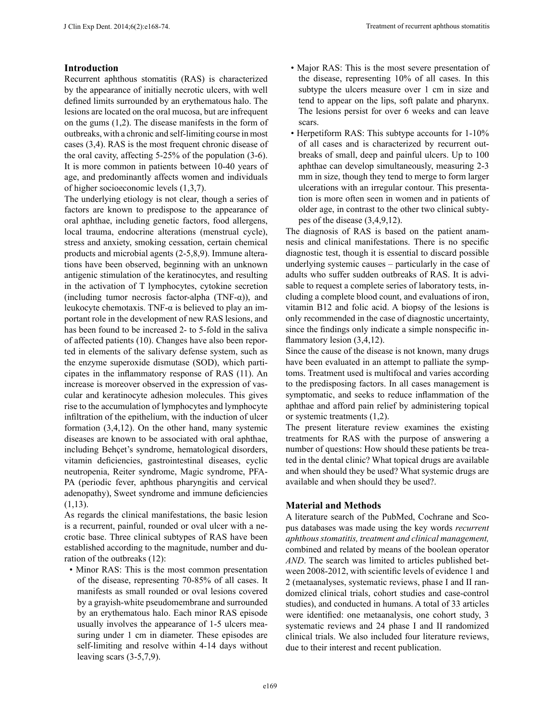## **Introduction**

Recurrent aphthous stomatitis (RAS) is characterized by the appearance of initially necrotic ulcers, with well defined limits surrounded by an erythematous halo. The lesions are located on the oral mucosa, but are infrequent on the gums (1,2). The disease manifests in the form of outbreaks, with a chronic and self-limiting course in most cases (3,4). RAS is the most frequent chronic disease of the oral cavity, affecting 5-25% of the population (3-6). It is more common in patients between 10-40 years of age, and predominantly affects women and individuals of higher socioeconomic levels (1,3,7).

The underlying etiology is not clear, though a series of factors are known to predispose to the appearance of oral aphthae, including genetic factors, food allergens, local trauma, endocrine alterations (menstrual cycle), stress and anxiety, smoking cessation, certain chemical products and microbial agents (2-5,8,9). Immune alterations have been observed, beginning with an unknown antigenic stimulation of the keratinocytes, and resulting in the activation of T lymphocytes, cytokine secretion (including tumor necrosis factor-alpha (TNF- $\alpha$ )), and leukocyte chemotaxis. TNF-α is believed to play an important role in the development of new RAS lesions, and has been found to be increased 2- to 5-fold in the saliva of affected patients (10). Changes have also been reported in elements of the salivary defense system, such as the enzyme superoxide dismutase (SOD), which participates in the inflammatory response of RAS (11). An increase is moreover observed in the expression of vascular and keratinocyte adhesion molecules. This gives rise to the accumulation of lymphocytes and lymphocyte infiltration of the epithelium, with the induction of ulcer formation (3,4,12). On the other hand, many systemic diseases are known to be associated with oral aphthae, including Behçet's syndrome, hematological disorders, vitamin deficiencies, gastrointestinal diseases, cyclic neutropenia, Reiter syndrome, Magic syndrome, PFA-PA (periodic fever, aphthous pharyngitis and cervical adenopathy), Sweet syndrome and immune deficiencies (1,13).

As regards the clinical manifestations, the basic lesion is a recurrent, painful, rounded or oval ulcer with a necrotic base. Three clinical subtypes of RAS have been established according to the magnitude, number and duration of the outbreaks (12):

• Minor RAS: This is the most common presentation of the disease, representing 70-85% of all cases. It manifests as small rounded or oval lesions covered by a grayish-white pseudomembrane and surrounded by an erythematous halo. Each minor RAS episode usually involves the appearance of 1-5 ulcers measuring under 1 cm in diameter. These episodes are self-limiting and resolve within 4-14 days without leaving scars (3-5,7,9).

- Major RAS: This is the most severe presentation of the disease, representing 10% of all cases. In this subtype the ulcers measure over 1 cm in size and tend to appear on the lips, soft palate and pharynx. The lesions persist for over 6 weeks and can leave scars.
- Herpetiform RAS: This subtype accounts for 1-10% of all cases and is characterized by recurrent outbreaks of small, deep and painful ulcers. Up to 100 aphthae can develop simultaneously, measuring 2-3 mm in size, though they tend to merge to form larger ulcerations with an irregular contour. This presentation is more often seen in women and in patients of older age, in contrast to the other two clinical subtypes of the disease (3,4,9,12).

The diagnosis of RAS is based on the patient anamnesis and clinical manifestations. There is no specific diagnostic test, though it is essential to discard possible underlying systemic causes – particularly in the case of adults who suffer sudden outbreaks of RAS. It is advisable to request a complete series of laboratory tests, including a complete blood count, and evaluations of iron, vitamin B12 and folic acid. A biopsy of the lesions is only recommended in the case of diagnostic uncertainty, since the findings only indicate a simple nonspecific inflammatory lesion (3,4,12).

Since the cause of the disease is not known, many drugs have been evaluated in an attempt to palliate the symptoms. Treatment used is multifocal and varies according to the predisposing factors. In all cases management is symptomatic, and seeks to reduce inflammation of the aphthae and afford pain relief by administering topical or systemic treatments (1,2).

The present literature review examines the existing treatments for RAS with the purpose of answering a number of questions: How should these patients be treated in the dental clinic? What topical drugs are available and when should they be used? What systemic drugs are available and when should they be used?.

## **Material and Methods**

A literature search of the PubMed, Cochrane and Scopus databases was made using the key words *recurrent aphthous stomatitis, treatment and clinical management,*  combined and related by means of the boolean operator *AND*. The search was limited to articles published between 2008-2012, with scientific levels of evidence 1 and 2 (metaanalyses, systematic reviews, phase I and II randomized clinical trials, cohort studies and case-control studies), and conducted in humans. A total of 33 articles were identified: one metaanalysis, one cohort study, 3 systematic reviews and 24 phase I and II randomized clinical trials. We also included four literature reviews, due to their interest and recent publication.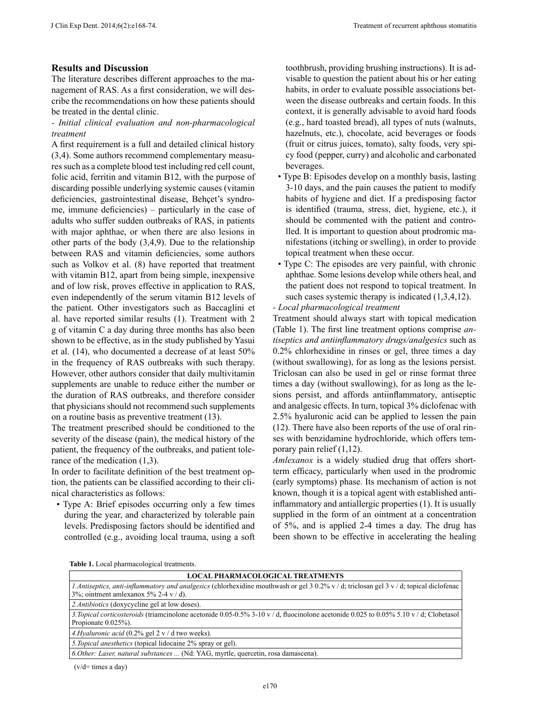### **Results and Discussion**

The literature describes different approaches to the management of RAS. As a first consideration, we will describe the recommendations on how these patients should be treated in the dental clinic.

#### *- Initial clinical evaluation and non-pharmacological treatment*

A first requirement is a full and detailed clinical history (3,4). Some authors recommend complementary measures such as a complete blood test including red cell count, folic acid, ferritin and vitamin B12, with the purpose of discarding possible underlying systemic causes (vitamin deficiencies, gastrointestinal disease, Behçet's syndrome, immune deficiencies) – particularly in the case of adults who suffer sudden outbreaks of RAS, in patients with major aphthae, or when there are also lesions in other parts of the body (3,4,9). Due to the relationship between RAS and vitamin deficiencies, some authors such as Volkov et al. (8) have reported that treatment with vitamin B12, apart from being simple, inexpensive and of low risk, proves effective in application to RAS, even independently of the serum vitamin B12 levels of the patient. Other investigators such as Baccaglini et al. have reported similar results (1). Treatment with 2 g of vitamin C a day during three months has also been shown to be effective, as in the study published by Yasui et al. (14), who documented a decrease of at least 50% in the frequency of RAS outbreaks with such therapy. However, other authors consider that daily multivitamin supplements are unable to reduce either the number or the duration of RAS outbreaks, and therefore consider that physicians should not recommend such supplements on a routine basis as preventive treatment (13).

The treatment prescribed should be conditioned to the severity of the disease (pain), the medical history of the patient, the frequency of the outbreaks, and patient tolerance of the medication (1,3).

In order to facilitate definition of the best treatment option, the patients can be classified according to their clinical characteristics as follows:

• Type A: Brief episodes occurring only a few times during the year, and characterized by tolerable pain levels. Predisposing factors should be identified and controlled (e.g., avoiding local trauma, using a soft toothbrush, providing brushing instructions). It is advisable to question the patient about his or her eating habits, in order to evaluate possible associations between the disease outbreaks and certain foods. In this context, it is generally advisable to avoid hard foods (e.g., hard toasted bread), all types of nuts (walnuts, hazelnuts, etc.), chocolate, acid beverages or foods (fruit or citrus juices, tomato), salty foods, very spicy food (pepper, curry) and alcoholic and carbonated beverages.

- Type B: Episodes develop on a monthly basis, lasting 3-10 days, and the pain causes the patient to modify habits of hygiene and diet. If a predisposing factor is identified (trauma, stress, diet, hygiene, etc.), it should be commented with the patient and controlled. It is important to question about prodromic manifestations (itching or swelling), in order to provide topical treatment when these occur.
- Type C: The episodes are very painful, with chronic aphthae. Some lesions develop while others heal, and the patient does not respond to topical treatment. In such cases systemic therapy is indicated  $(1,3,4,12)$ .

#### *- Local pharmacological treatment*

Treatment should always start with topical medication (Table 1). The first line treatment options comprise *antiseptics and antiinflammatory drugs/analgesics* such as 0.2% chlorhexidine in rinses or gel, three times a day (without swallowing), for as long as the lesions persist. Triclosan can also be used in gel or rinse format three times a day (without swallowing), for as long as the lesions persist, and affords antiinflammatory, antiseptic and analgesic effects. In turn, topical 3% diclofenac with 2.5% hyaluronic acid can be applied to lessen the pain (12). There have also been reports of the use of oral rinses with benzidamine hydrochloride, which offers temporary pain relief (1,12).

*Amlexanox* is a widely studied drug that offers shortterm efficacy, particularly when used in the prodromic (early symptoms) phase. Its mechanism of action is not known, though it is a topical agent with established antiinflammatory and antiallergic properties (1). It is usually supplied in the form of an ointment at a concentration of 5%, and is applied 2-4 times a day. The drug has been shown to be effective in accelerating the healing

| <b>LOCAL PHARMACOLOGICAL TREATMENTS</b>                                                                                                                                                 |
|-----------------------------------------------------------------------------------------------------------------------------------------------------------------------------------------|
| <i>l.Antiseptics, anti-inflammatory and analgesics</i> (chlorhexidine mouthwash or gel 3 0.2% v / d; triclosan gel 3 v / d; topical diclofenac<br>3%; ointment amlexanox 5% 2-4 v / d). |
| 2. Antibiotics (doxycycline gel at low doses).                                                                                                                                          |
| 3. Topical corticosteroids (triamcinolone acetonide $0.05$ -0.5% 3-10 v / d, fluocinolone acetonide 0.025 to 0.05% 5.10 v / d; Clobetasol<br>Propionate 0.025%).                        |
| 4. Hyaluronic acid (0.2% gel 2 v / d two weeks).                                                                                                                                        |
| 5. Topical anesthetics (topical lidocaine 2% spray or gel).                                                                                                                             |
| 6. Other: Laser, natural substances  (Nd: YAG, myrtle, quercetin, rosa damascena).                                                                                                      |

 $(v/d=$  times a day)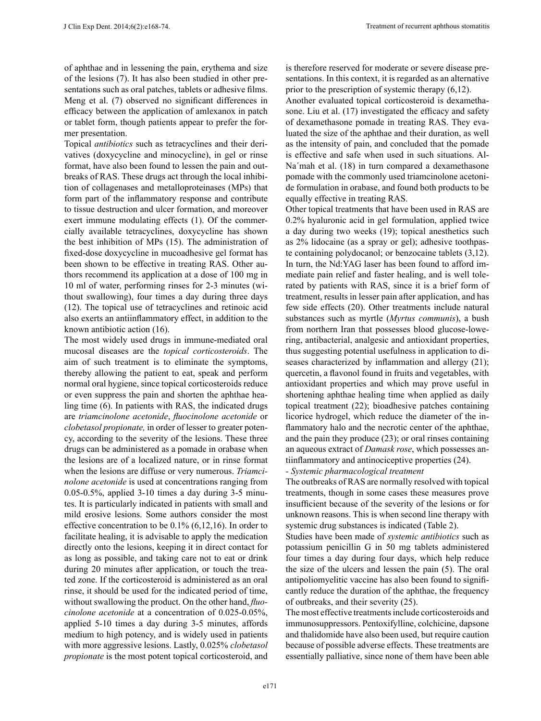of aphthae and in lessening the pain, erythema and size of the lesions (7). It has also been studied in other presentations such as oral patches, tablets or adhesive films. Meng et al. (7) observed no significant differences in efficacy between the application of amlexanox in patch or tablet form, though patients appear to prefer the former presentation.

Topical *antibiotics* such as tetracyclines and their derivatives (doxycycline and minocycline), in gel or rinse format, have also been found to lessen the pain and outbreaks of RAS. These drugs act through the local inhibition of collagenases and metalloproteinases (MPs) that form part of the inflammatory response and contribute to tissue destruction and ulcer formation, and moreover exert immune modulating effects (1). Of the commercially available tetracyclines, doxycycline has shown the best inhibition of MPs (15). The administration of fixed-dose doxycycline in mucoadhesive gel format has been shown to be effective in treating RAS. Other authors recommend its application at a dose of 100 mg in 10 ml of water, performing rinses for 2-3 minutes (without swallowing), four times a day during three days (12). The topical use of tetracyclines and retinoic acid also exerts an antiinflammatory effect, in addition to the known antibiotic action (16).

The most widely used drugs in immune-mediated oral mucosal diseases are the *topical corticosteroids*. The aim of such treatment is to eliminate the symptoms, thereby allowing the patient to eat, speak and perform normal oral hygiene, since topical corticosteroids reduce or even suppress the pain and shorten the aphthae healing time (6). In patients with RAS, the indicated drugs are *triamcinolone acetonide*, *fluocinolone acetonide* or *clobetasol propionate,* in order of lesser to greater potency, according to the severity of the lesions. These three drugs can be administered as a pomade in orabase when the lesions are of a localized nature, or in rinse format when the lesions are diffuse or very numerous. *Triamcinolone acetonide* is used at concentrations ranging from 0.05-0.5%, applied 3-10 times a day during 3-5 minutes. It is particularly indicated in patients with small and mild erosive lesions. Some authors consider the most effective concentration to be 0.1% (6,12,16). In order to facilitate healing, it is advisable to apply the medication directly onto the lesions, keeping it in direct contact for as long as possible, and taking care not to eat or drink during 20 minutes after application, or touch the treated zone. If the corticosteroid is administered as an oral rinse, it should be used for the indicated period of time, without swallowing the product. On the other hand, *fluocinolone acetonide* at a concentration of 0.025-0.05%, applied 5-10 times a day during 3-5 minutes, affords medium to high potency, and is widely used in patients with more aggressive lesions. Lastly, 0.025% *clobetasol propionate* is the most potent topical corticosteroid, and

is therefore reserved for moderate or severe disease presentations. In this context, it is regarded as an alternative prior to the prescription of systemic therapy (6,12).

Another evaluated topical corticosteroid is dexamethasone. Liu et al. (17) investigated the efficacy and safety of dexamethasone pomade in treating RAS. They evaluated the size of the aphthae and their duration, as well as the intensity of pain, and concluded that the pomade is effective and safe when used in such situations. Al-Na´mah et al. (18) in turn compared a dexamethasone pomade with the commonly used triamcinolone acetonide formulation in orabase, and found both products to be equally effective in treating RAS.

Other topical treatments that have been used in RAS are 0.2% hyaluronic acid in gel formulation, applied twice a day during two weeks (19); topical anesthetics such as 2% lidocaine (as a spray or gel); adhesive toothpaste containing polydocanol; or benzocaine tablets (3,12). In turn, the Nd:YAG laser has been found to afford immediate pain relief and faster healing, and is well tolerated by patients with RAS, since it is a brief form of treatment, results in lesser pain after application, and has few side effects (20). Other treatments include natural substances such as myrtle (*Myrtus communis*), a bush from northern Iran that possesses blood glucose-lowering, antibacterial, analgesic and antioxidant properties, thus suggesting potential usefulness in application to diseases characterized by inflammation and allergy (21); quercetin, a flavonol found in fruits and vegetables, with antioxidant properties and which may prove useful in shortening aphthae healing time when applied as daily topical treatment (22); bioadhesive patches containing licorice hydrogel, which reduce the diameter of the inflammatory halo and the necrotic center of the aphthae, and the pain they produce (23); or oral rinses containing an aqueous extract of *Damask rose*, which possesses antiinflammatory and antinociceptive properties (24).

*- Systemic pharmacological treatment*

The outbreaks of RAS are normally resolved with topical treatments, though in some cases these measures prove insufficient because of the severity of the lesions or for unknown reasons. This is when second line therapy with systemic drug substances is indicated (Table 2).

Studies have been made of *systemic antibiotics* such as potassium penicillin G in 50 mg tablets administered four times a day during four days, which help reduce the size of the ulcers and lessen the pain (5). The oral antipoliomyelitic vaccine has also been found to significantly reduce the duration of the aphthae, the frequency of outbreaks, and their severity (25).

The most effective treatments include corticosteroids and immunosuppressors. Pentoxifylline, colchicine, dapsone and thalidomide have also been used, but require caution because of possible adverse effects. These treatments are essentially palliative, since none of them have been able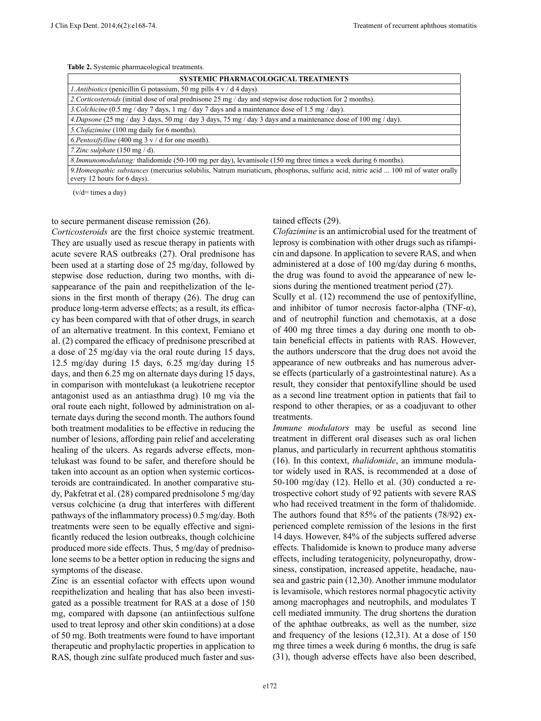**Table 2.** Systemic pharmacological treatments.

| <b>SYSTEMIC PHARMACOLOGICAL TREATMENTS</b>                                                                                                                       |
|------------------------------------------------------------------------------------------------------------------------------------------------------------------|
| <i>l. Antibiotics</i> (penicillin G potassium, 50 mg pills $4 \times 44$ days).                                                                                  |
| 2. Corticosteroids (initial dose of oral prednisone 25 mg / day and stepwise dose reduction for 2 months).                                                       |
| 3. Colchicine (0.5 mg / day 7 days, 1 mg / day 7 days and a maintenance dose of 1.5 mg / day).                                                                   |
| 4. Dapsone (25 mg/day 3 days, 50 mg/day 3 days, 75 mg/day 3 days and a maintenance dose of 100 mg/day).                                                          |
| 5. Clofazimine (100 mg daily for 6 months).                                                                                                                      |
| 6. Pentoxifylline (400 mg 3 $v/d$ for one month).                                                                                                                |
| 7. Zinc sulphate $(150 \text{ mg}/\text{d})$ .                                                                                                                   |
| 8.Immunomodulating: thalidomide (50-100 mg per day), levamisole (150 mg three times a week during 6 months).                                                     |
| 9. Homeopathic substances (mercurius solubilis, Natrum muriaticum, phosphorus, sulfuric acid, nitric acid  100 ml of water orally<br>every 12 hours for 6 days). |

(v/d= times a day)

to secure permanent disease remission (26).

*Corticosteroids* are the first choice systemic treatment*.* They are usually used as rescue therapy in patients with acute severe RAS outbreaks (27). Oral prednisone has been used at a starting dose of 25 mg/day, followed by stepwise dose reduction, during two months, with disappearance of the pain and reepithelization of the lesions in the first month of therapy (26). The drug can produce long-term adverse effects; as a result, its efficacy has been compared with that of other drugs, in search of an alternative treatment. In this context, Femiano et al. (2) compared the efficacy of prednisone prescribed at a dose of 25 mg/day via the oral route during 15 days, 12.5 mg/day during 15 days, 6.25 mg/day during 15 days, and then 6.25 mg on alternate days during 15 days, in comparison with montelukast (a leukotriene receptor antagonist used as an antiasthma drug) 10 mg via the oral route each night, followed by administration on alternate days during the second month. The authors found both treatment modalities to be effective in reducing the number of lesions, affording pain relief and accelerating healing of the ulcers. As regards adverse effects, montelukast was found to be safer, and therefore should be taken into account as an option when systemic corticosteroids are contraindicated. In another comparative study, Pakfetrat et al. (28) compared prednisolone 5 mg/day versus colchicine (a drug that interferes with different pathways of the inflammatory process) 0.5 mg/day. Both treatments were seen to be equally effective and significantly reduced the lesion outbreaks, though colchicine produced more side effects. Thus, 5 mg/day of prednisolone seems to be a better option in reducing the signs and symptoms of the disease.

Zinc is an essential cofactor with effects upon wound reepithelization and healing that has also been investigated as a possible treatment for RAS at a dose of 150 mg, compared with dapsone (an antiinfectious sulfone used to treat leprosy and other skin conditions) at a dose of 50 mg. Both treatments were found to have important therapeutic and prophylactic properties in application to RAS, though zinc sulfate produced much faster and sustained effects (29).

*Clofazimine* is an antimicrobial used for the treatment of leprosy is combination with other drugs such as rifampicin and dapsone. In application to severe RAS, and when administered at a dose of 100 mg/day during 6 months, the drug was found to avoid the appearance of new lesions during the mentioned treatment period (27).

Scully et al. (12) recommend the use of pentoxifylline, and inhibitor of tumor necrosis factor-alpha (TNF- $\alpha$ ), and of neutrophil function and chemotaxis, at a dose of 400 mg three times a day during one month to obtain beneficial effects in patients with RAS. However, the authors underscore that the drug does not avoid the appearance of new outbreaks and has numerous adverse effects (particularly of a gastrointestinal nature). As a result, they consider that pentoxifylline should be used as a second line treatment option in patients that fail to respond to other therapies, or as a coadjuvant to other treatments.

*Immune modulators* may be useful as second line treatment in different oral diseases such as oral lichen planus, and particularly in recurrent aphthous stomatitis (16). In this context, *thalidomide*, an immune modulator widely used in RAS, is recommended at a dose of 50-100 mg/day (12). Hello et al. (30) conducted a retrospective cohort study of 92 patients with severe RAS who had received treatment in the form of thalidomide. The authors found that 85% of the patients (78/92) experienced complete remission of the lesions in the first 14 days. However, 84% of the subjects suffered adverse effects. Thalidomide is known to produce many adverse effects, including teratogenicity, polyneuropathy, drowsiness, constipation, increased appetite, headache, nausea and gastric pain (12,30). Another immune modulator is levamisole, which restores normal phagocytic activity among macrophages and neutrophils, and modulates T cell mediated immunity. The drug shortens the duration of the aphthae outbreaks, as well as the number, size and frequency of the lesions (12,31). At a dose of 150 mg three times a week during 6 months, the drug is safe (31), though adverse effects have also been described,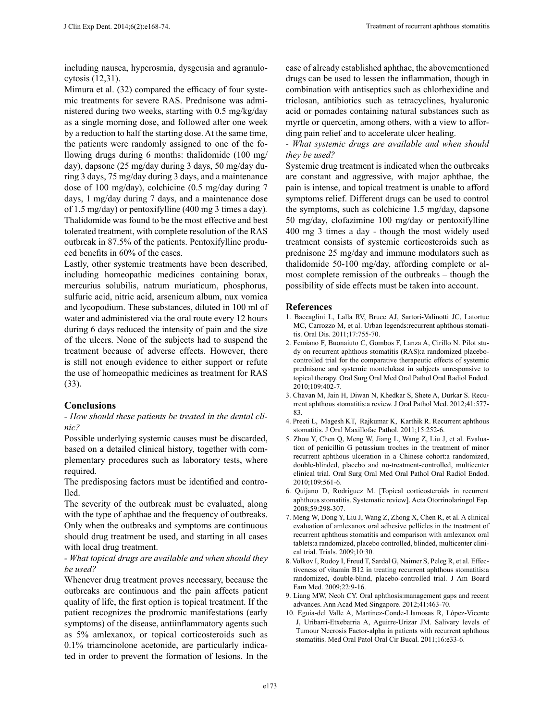including nausea, hyperosmia, dysgeusia and agranulocytosis (12,31).

Mimura et al. (32) compared the efficacy of four systemic treatments for severe RAS. Prednisone was administered during two weeks, starting with 0.5 mg/kg/day as a single morning dose, and followed after one week by a reduction to half the starting dose. At the same time, the patients were randomly assigned to one of the following drugs during 6 months: thalidomide (100 mg/ day), dapsone (25 mg/day during 3 days, 50 mg/day during 3 days, 75 mg/day during 3 days, and a maintenance dose of 100 mg/day), colchicine (0.5 mg/day during 7 days, 1 mg/day during 7 days, and a maintenance dose of 1.5 mg/day) or pentoxifylline (400 mg 3 times a day)*.* Thalidomide was found to be the most effective and best tolerated treatment, with complete resolution of the RAS outbreak in 87.5% of the patients. Pentoxifylline produced benefits in 60% of the cases.

Lastly, other systemic treatments have been described, including homeopathic medicines containing borax, mercurius solubilis, natrum muriaticum, phosphorus, sulfuric acid, nitric acid, arsenicum album, nux vomica and lycopodium. These substances, diluted in 100 ml of water and administered via the oral route every 12 hours during 6 days reduced the intensity of pain and the size of the ulcers. None of the subjects had to suspend the treatment because of adverse effects. However, there is still not enough evidence to either support or refute the use of homeopathic medicines as treatment for RAS (33).

#### **Conclusions**

*- How should these patients be treated in the dental clinic?*

Possible underlying systemic causes must be discarded, based on a detailed clinical history, together with complementary procedures such as laboratory tests, where required.

The predisposing factors must be identified and controlled.

The severity of the outbreak must be evaluated, along with the type of aphthae and the frequency of outbreaks. Only when the outbreaks and symptoms are continuous should drug treatment be used, and starting in all cases with local drug treatment.

#### *- What topical drugs are available and when should they be used?*

Whenever drug treatment proves necessary, because the outbreaks are continuous and the pain affects patient quality of life, the first option is topical treatment. If the patient recognizes the prodromic manifestations (early symptoms) of the disease, antiinflammatory agents such as 5% amlexanox, or topical corticosteroids such as 0.1% triamcinolone acetonide, are particularly indicated in order to prevent the formation of lesions. In the

case of already established aphthae, the abovementioned drugs can be used to lessen the inflammation, though in combination with antiseptics such as chlorhexidine and triclosan, antibiotics such as tetracyclines, hyaluronic acid or pomades containing natural substances such as myrtle or quercetin, among others, with a view to affording pain relief and to accelerate ulcer healing.

#### *- What systemic drugs are available and when should they be used?*

Systemic drug treatment is indicated when the outbreaks are constant and aggressive, with major aphthae, the pain is intense, and topical treatment is unable to afford symptoms relief. Different drugs can be used to control the symptoms, such as colchicine 1.5 mg/day, dapsone 50 mg/day, clofazimine 100 mg/day or pentoxifylline 400 mg 3 times a day - though the most widely used treatment consists of systemic corticosteroids such as prednisone 25 mg/day and immune modulators such as thalidomide 50-100 mg/day, affording complete or almost complete remission of the outbreaks – though the possibility of side effects must be taken into account.

#### **References**

- 1. Baccaglini L, Lalla RV, Bruce AJ, Sartori-Valinotti JC, Latortue MC, Carrozzo M, et al. Urban legends:recurrent aphthous stomatitis. Oral Dis. 2011;17:755-70.
- 2. Femiano F, Buonaiuto C, Gombos F, Lanza A, Cirillo N. Pilot study on recurrent aphthous stomatitis (RAS):a randomized placebocontrolled trial for the comparative therapeutic effects of systemic prednisone and systemic montelukast in subjects unresponsive to topical therapy. Oral Surg Oral Med Oral Pathol Oral Radiol Endod. 2010;109:402-7.
- 3. Chavan M, Jain H, Diwan N, Khedkar S, Shete A, Durkar S. Recurrent aphthous stomatitis:a review. J Oral Pathol Med. 2012;41:577- 83.
- 4. Preeti L, Magesh KT, Rajkumar K, Karthik R. Recurrent aphthous stomatitis. J Oral Maxillofac Pathol. 2011;15:252-6.
- 5. Zhou Y, Chen Q, Meng W, Jiang L, Wang Z, Liu J, et al. Evaluation of penicillin G potassium troches in the treatment of minor recurrent aphthous ulceration in a Chinese cohort:a randomized, double-blinded, placebo and no-treatment-controlled, multicenter clinical trial. Oral Surg Oral Med Oral Pathol Oral Radiol Endod. 2010;109:561-6.
- 6. Quijano D, Rodríguez M. [Topical corticosteroids in recurrent aphthous stomatitis. Systematic review]. Acta Otorrinolaringol Esp. 2008;59:298-307.
- 7. Meng W, Dong Y, Liu J, Wang Z, Zhong X, Chen R, et al. A clinical evaluation of amlexanox oral adhesive pellicles in the treatment of recurrent aphthous stomatitis and comparison with amlexanox oral tablets:a randomized, placebo controlled, blinded, multicenter clinical trial. Trials. 2009;10:30.
- 8. Volkov I, Rudoy I, Freud T, Sardal G, Naimer S, Peleg R, et al. Effectiveness of vitamin B12 in treating recurrent aphthous stomatitis:a randomized, double-blind, placebo-controlled trial. J Am Board Fam Med. 2009;22:9-16.
- 9. Liang MW, Neoh CY. Oral aphthosis:management gaps and recent advances. Ann Acad Med Singapore. 2012;41:463-70.
- 10. Eguia-del Valle A, Martinez-Conde-Llamosas R, López-Vicente J, Uribarri-Etxebarria A, Aguirre-Urizar JM. Salivary levels of Tumour Necrosis Factor-alpha in patients with recurrent aphthous stomatitis. Med Oral Patol Oral Cir Bucal. 2011;16:e33-6.